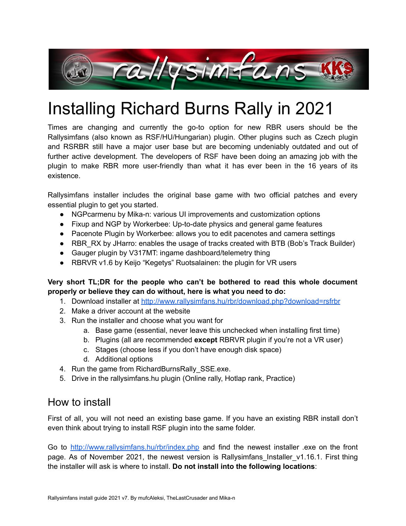

# Installing Richard Burns Rally in 2021

Times are changing and currently the go-to option for new RBR users should be the Rallysimfans (also known as RSF/HU/Hungarian) plugin. Other plugins such as Czech plugin and RSRBR still have a major user base but are becoming undeniably outdated and out of further active development. The developers of RSF have been doing an amazing job with the plugin to make RBR more user-friendly than what it has ever been in the 16 years of its existence.

Rallysimfans installer includes the original base game with two official patches and every essential plugin to get you started.

- NGPcarmenu by Mika-n: various UI improvements and customization options
- Fixup and NGP by Workerbee: Up-to-date physics and general game features
- Pacenote Plugin by Workerbee: allows you to edit pacenotes and camera settings
- RBR\_RX by JHarro: enables the usage of tracks created with BTB (Bob's Track Builder)
- Gauger plugin by V317MT: ingame dashboard/telemetry thing
- RBRVR v1.6 by Keijo "Kegetys" Ruotsalainen: the plugin for VR users

#### **Very short TL;DR for the people who can't be bothered to read this whole document properly or believe they can do without, here is what you need to do:**

- 1. Download installer at <http://www.rallysimfans.hu/rbr/download.php?download=rsfrbr>
- 2. Make a driver account at the website
- 3. Run the installer and choose what you want for
	- a. Base game (essential, never leave this unchecked when installing first time)
	- b. Plugins (all are recommended **except** RBRVR plugin if you're not a VR user)
	- c. Stages (choose less if you don't have enough disk space)
	- d. Additional options
- 4. Run the game from RichardBurnsRally\_SSE.exe.
- 5. Drive in the rallysimfans.hu plugin (Online rally, Hotlap rank, Practice)

# How to install

First of all, you will not need an existing base game. If you have an existing RBR install don't even think about trying to install RSF plugin into the same folder.

Go to <http://www.rallysimfans.hu/rbr/index.php> and find the newest installer .exe on the front page. As of November 2021, the newest version is Rallysimfans Installer v1.16.1. First thing the installer will ask is where to install. **Do not install into the following locations**: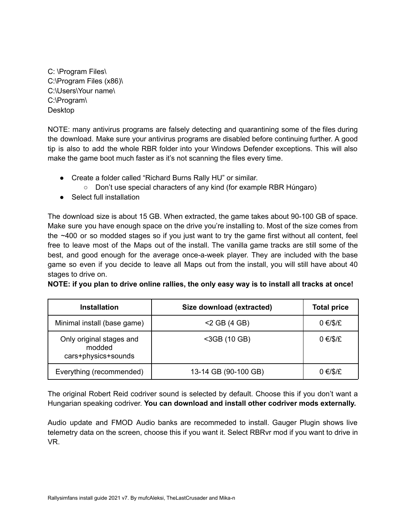C: \Program Files\ C:\Program Files (x86)\ C:\Users\Your name\ C:\Program\ Desktop

NOTE: many antivirus programs are falsely detecting and quarantining some of the files during the download. Make sure your antivirus programs are disabled before continuing further. A good tip is also to add the whole RBR folder into your Windows Defender exceptions. This will also make the game boot much faster as it's not scanning the files every time.

- Create a folder called "Richard Burns Rally HU" or similar.
	- Don't use special characters of any kind (for example RBR Húngaro)
- Select full installation

The download size is about 15 GB. When extracted, the game takes about 90-100 GB of space. Make sure you have enough space on the drive you're installing to. Most of the size comes from the ~400 or so modded stages so if you just want to try the game first without all content, feel free to leave most of the Maps out of the install. The vanilla game tracks are still some of the best, and good enough for the average once-a-week player. They are included with the base game so even if you decide to leave all Maps out from the install, you will still have about 40 stages to drive on.

NOTE: if you plan to drive online rallies, the only easy way is to install all tracks at once!

| <b>Installation</b>                                       | Size download (extracted) | <b>Total price</b> |
|-----------------------------------------------------------|---------------------------|--------------------|
| Minimal install (base game)                               | $<$ 2 GB (4 GB)           | $0 \in$ /\$/£      |
| Only original stages and<br>modded<br>cars+physics+sounds | <3GB (10 GB)              | $0 \in$ /\$/£      |
| Everything (recommended)                                  | 13-14 GB (90-100 GB)      | $0 \in$ /\$/£      |

The original Robert Reid codriver sound is selected by default. Choose this if you don't want a Hungarian speaking codriver. **You can download and install other codriver mods externally.**

Audio update and FMOD Audio banks are recommeded to install. Gauger Plugin shows live telemetry data on the screen, choose this if you want it. Select RBRvr mod if you want to drive in VR.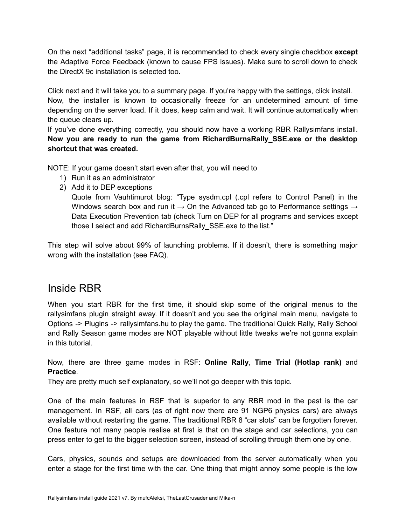On the next "additional tasks" page, it is recommended to check every single checkbox **except** the Adaptive Force Feedback (known to cause FPS issues). Make sure to scroll down to check the DirectX 9c installation is selected too.

Click next and it will take you to a summary page. If you're happy with the settings, click install. Now, the installer is known to occasionally freeze for an undetermined amount of time depending on the server load. If it does, keep calm and wait. It will continue automatically when the queue clears up.

If you've done everything correctly, you should now have a working RBR Rallysimfans install. **Now you are ready to run the game from RichardBurnsRally\_SSE.exe or the desktop shortcut that was created.**

NOTE: If your game doesn't start even after that, you will need to

- 1) Run it as an administrator
- 2) Add it to DEP exceptions

Quote from Vauhtimurot blog: "Type sysdm.cpl (.cpl refers to Control Panel) in the Windows search box and run it  $\rightarrow$  On the Advanced tab go to Performance settings  $\rightarrow$ Data Execution Prevention tab (check Turn on DEP for all programs and services except those I select and add RichardBurnsRally SSE.exe to the list."

This step will solve about 99% of launching problems. If it doesn't, there is something major wrong with the installation (see FAQ).

### Inside RBR

When you start RBR for the first time, it should skip some of the original menus to the rallysimfans plugin straight away. If it doesn't and you see the original main menu, navigate to Options -> Plugins -> rallysimfans.hu to play the game. The traditional Quick Rally, Rally School and Rally Season game modes are NOT playable without little tweaks we're not gonna explain in this tutorial.

Now, there are three game modes in RSF: **Online Rally**, **Time Trial (Hotlap rank)** and **Practice**.

They are pretty much self explanatory, so we'll not go deeper with this topic.

One of the main features in RSF that is superior to any RBR mod in the past is the car management. In RSF, all cars (as of right now there are 91 NGP6 physics cars) are always available without restarting the game. The traditional RBR 8 "car slots" can be forgotten forever. One feature not many people realise at first is that on the stage and car selections, you can press enter to get to the bigger selection screen, instead of scrolling through them one by one.

Cars, physics, sounds and setups are downloaded from the server automatically when you enter a stage for the first time with the car. One thing that might annoy some people is the low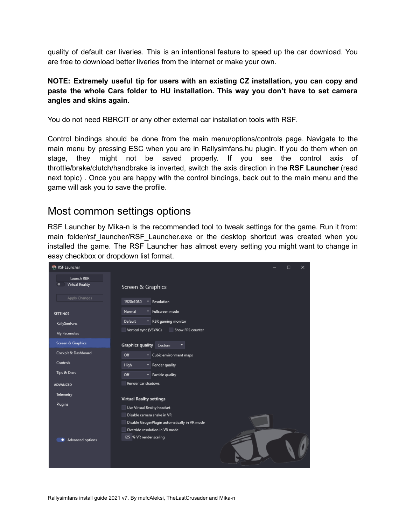quality of default car liveries. This is an intentional feature to speed up the car download. You are free to download better liveries from the internet or make your own.

#### **NOTE: Extremely useful tip for users with an existing CZ installation, you can copy and paste the whole Cars folder to HU installation. This way you don't have to set camera angles and skins again.**

You do not need RBRCIT or any other external car installation tools with RSF.

Control bindings should be done from the main menu/options/controls page. Navigate to the main menu by pressing ESC when you are in Rallysimfans.hu plugin. If you do them when on stage, they might not be saved properly. If you see the control axis of throttle/brake/clutch/handbrake is inverted, switch the axis direction in the **RSF Launcher** (read next topic) . Once you are happy with the control bindings, back out to the main menu and the game will ask you to save the profile.

### Most common settings options

RSF Launcher by Mika-n is the recommended tool to tweak settings for the game. Run it from: main folder/rsf launcher/RSF Launcher.exe or the desktop shortcut was created when you installed the game. The RSF Launcher has almost every setting you might want to change in easy checkbox or dropdown list format.

| <b>RSF</b> Launcher                  | $\times$<br>П                                 |
|--------------------------------------|-----------------------------------------------|
| Launch RBR<br><b>Virtual Reality</b> | Screen & Graphics                             |
| Apply Changes                        | 1920x1080<br>Resolution                       |
| <b>SETTINGS</b>                      | Normal<br>Fullscreen mode<br>٠                |
| <b>RallySimFans</b>                  | <b>Default</b><br>RBR gaming monitor<br>٠.    |
| My Pacenotes                         | Vertical sync (VSYNC)<br>Show FPS counter     |
| <b>Screen &amp; Graphics</b>         | <b>Graphics quality</b><br>Custom             |
| Cockpit & Dashboard                  | Off<br>• Cubic environment maps               |
| Controls                             | $\mathbf{P}$ Render quality<br><b>High</b>    |
| Tips & Docs                          | Off<br>• Particle quality                     |
| <b>ADVANCED</b>                      | Render car shadows                            |
| Telemetry                            | <b>Virtual Reality settings</b>               |
| <b>Plugins</b>                       | Use Virtual Reality headset                   |
|                                      | Disable camera shake in VR                    |
|                                      | Disable GaugerPlugin automatically in VR mode |
|                                      | Override resolution in VR mode                |
| Advanced options                     | 125 % VR render scaling                       |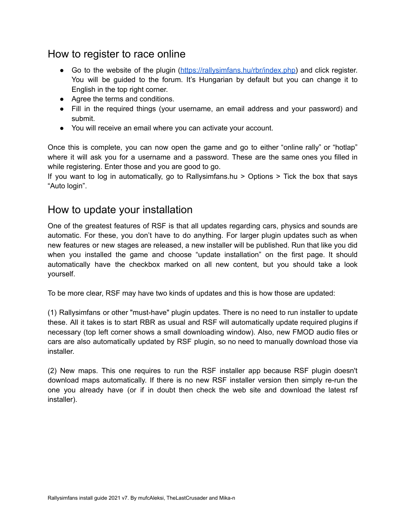# How to register to race online

- Go to the website of the plugin [\(https://rallysimfans.hu/rbr/index.php\)](https://rallysimfans.hu/rbr/index.php) and click register. You will be guided to the forum. It's Hungarian by default but you can change it to English in the top right corner.
- Agree the terms and conditions.
- Fill in the required things (your username, an email address and your password) and submit.
- You will receive an email where you can activate your account.

Once this is complete, you can now open the game and go to either "online rally" or "hotlap" where it will ask you for a username and a password. These are the same ones you filled in while registering. Enter those and you are good to go.

If you want to log in automatically, go to Rallysimfans.hu > Options > Tick the box that says "Auto login".

## How to update your installation

One of the greatest features of RSF is that all updates regarding cars, physics and sounds are automatic. For these, you don't have to do anything. For larger plugin updates such as when new features or new stages are released, a new installer will be published. Run that like you did when you installed the game and choose "update installation" on the first page. It should automatically have the checkbox marked on all new content, but you should take a look yourself.

To be more clear, RSF may have two kinds of updates and this is how those are updated:

(1) Rallysimfans or other "must-have" plugin updates. There is no need to run installer to update these. All it takes is to start RBR as usual and RSF will automatically update required plugins if necessary (top left corner shows a small downloading window). Also, new FMOD audio files or cars are also automatically updated by RSF plugin, so no need to manually download those via installer.

(2) New maps. This one requires to run the RSF installer app because RSF plugin doesn't download maps automatically. If there is no new RSF installer version then simply re-run the one you already have (or if in doubt then check the web site and download the latest rsf installer).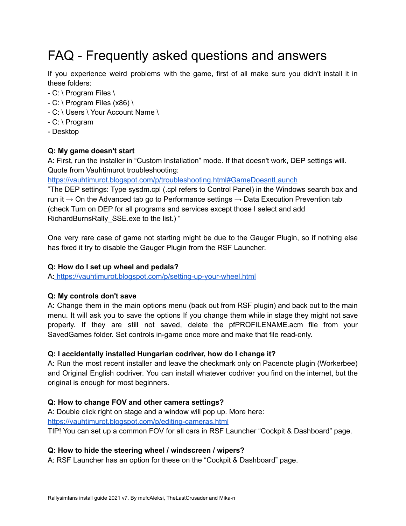# FAQ - Frequently asked questions and answers

If you experience weird problems with the game, first of all make sure you didn't install it in these folders:

- C: \ Program Files \
- $-C: \Gamma$  Program Files (x86)  $\Gamma$
- C: \ Users \ Your Account Name \
- C: \ Program
- Desktop

#### **Q: My game doesn't start**

A: First, run the installer in "Custom Installation" mode. If that doesn't work, DEP settings will. Quote from Vauhtimurot troubleshooting:

<https://vauhtimurot.blogspot.com/p/troubleshooting.html#GameDoesntLaunch>

"The DEP settings: Type sysdm.cpl (.cpl refers to Control Panel) in the Windows search box and run it  $\rightarrow$  On the Advanced tab go to Performance settings  $\rightarrow$  Data Execution Prevention tab (check Turn on DEP for all programs and services except those I select and add RichardBurnsRally\_SSE.exe to the list.) "

One very rare case of game not starting might be due to the Gauger Plugin, so if nothing else has fixed it try to disable the Gauger Plugin from the RSF Launcher.

#### **Q: How do I set up wheel and pedals?**

A: <https://vauhtimurot.blogspot.com/p/setting-up-your-wheel.html>

#### **Q: My controls don't save**

A: Change them in the main options menu (back out from RSF plugin) and back out to the main menu. It will ask you to save the options If you change them while in stage they might not save properly. If they are still not saved, delete the pfPROFILENAME.acm file from your SavedGames folder. Set controls in-game once more and make that file read-only.

#### **Q: I accidentally installed Hungarian codriver, how do I change it?**

A: Run the most recent installer and leave the checkmark only on Pacenote plugin (Workerbee) and Original English codriver. You can install whatever codriver you find on the internet, but the original is enough for most beginners.

#### **Q: How to change FOV and other camera settings?**

A: Double click right on stage and a window will pop up. More here:

<https://vauhtimurot.blogspot.com/p/editing-cameras.html>

TIP! You can set up a common FOV for all cars in RSF Launcher "Cockpit & Dashboard" page.

#### **Q: How to hide the steering wheel / windscreen / wipers?**

A: RSF Launcher has an option for these on the "Cockpit & Dashboard" page.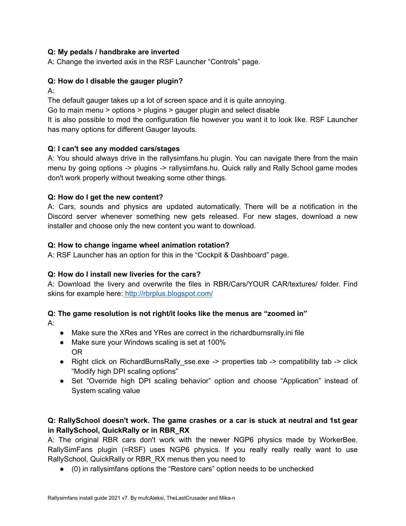#### **Q: My pedals / handbrake are inverted**

A: Change the inverted axis in the RSF Launcher "Controls" page.

#### **Q: How do I disable the gauger plugin?**

A:

The default gauger takes up a lot of screen space and it is quite annoying.

Go to main menu > options > plugins > gauger plugin and select disable

It is also possible to mod the configuration file however you want it to look like. RSF Launcher has many options for different Gauger layouts.

#### **Q: I can't see any modded cars/stages**

A: You should always drive in the rallysimfans.hu plugin. You can navigate there from the main menu by going options -> plugins -> rallysimfans.hu. Quick rally and Rally School game modes don't work properly without tweaking some other things.

#### **Q: How do I get the new content?**

A: Cars, sounds and physics are updated automatically. There will be a notification in the Discord server whenever something new gets released. For new stages, download a new installer and choose only the new content you want to download.

#### **Q: How to change ingame wheel animation rotation?**

A: RSF Launcher has an option for this in the "Cockpit & Dashboard" page.

#### **Q: How do I install new liveries for the cars?**

A: Download the livery and overwrite the files in RBR/Cars/YOUR CAR/textures/ folder. Find skins for example here: <http://rbrplus.blogspot.com/>

#### **Q: The game resolution is not right/it looks like the menus are "zoomed in"**

A:

- Make sure the XRes and YRes are correct in the richardburnsrally.ini file
- Make sure your Windows scaling is set at 100% OR
- Right click on RichardBurnsRally sse.exe -> properties tab -> compatibility tab -> click "Modify high DPI scaling options"
- Set "Override high DPI scaling behavior" option and choose "Application" instead of System scaling value

#### **Q: RallySchool doesn't work. The game crashes or a car is stuck at neutral and 1st gear in RallySchool, QuickRally or in RBR\_RX**

A: The original RBR cars don't work with the newer NGP6 physics made by WorkerBee. RallySimFans plugin (=RSF) uses NGP6 physics. If you really really really want to use RallySchool, QuickRally or RBR\_RX menus then you need to

● (0) in rallysimfans options the "Restore cars" option needs to be unchecked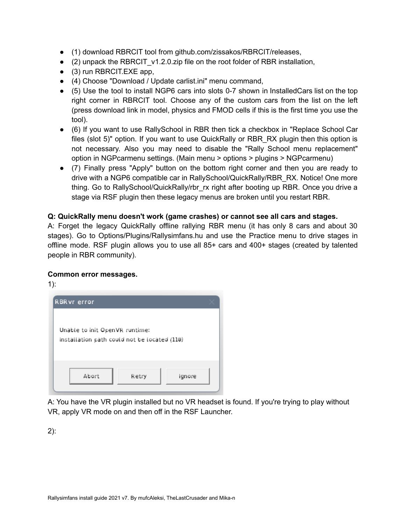- (1) download RBRCIT tool from github.com/zissakos/RBRCIT/releases,
- (2) unpack the RBRCIT\_v1.2.0.zip file on the root folder of RBR installation,
- (3) run RBRCIT.EXE app,
- (4) Choose "Download / Update carlist.ini" menu command,
- (5) Use the tool to install NGP6 cars into slots 0-7 shown in InstalledCars list on the top right corner in RBRCIT tool. Choose any of the custom cars from the list on the left (press download link in model, physics and FMOD cells if this is the first time you use the tool).
- (6) If you want to use RallySchool in RBR then tick a checkbox in "Replace School Car files (slot 5)" option. If you want to use QuickRally or RBR\_RX plugin then this option is not necessary. Also you may need to disable the "Rally School menu replacement" option in NGPcarmenu settings. (Main menu > options > plugins > NGPcarmenu)
- (7) Finally press "Apply" button on the bottom right corner and then you are ready to drive with a NGP6 compatible car in RallySchool/QuickRally/RBR\_RX. Notice! One more thing. Go to RallySchool/QuickRally/rbr\_rx right after booting up RBR. Once you drive a stage via RSF plugin then these legacy menus are broken until you restart RBR.

#### **Q: QuickRally menu doesn't work (game crashes) or cannot see all cars and stages.**

A: Forget the legacy QuickRally offline rallying RBR menu (it has only 8 cars and about 30 stages). Go to Options/Plugins/Rallysimfans.hu and use the Practice menu to drive stages in offline mode. RSF plugin allows you to use all 85+ cars and 400+ stages (created by talented people in RBR community).

#### **Common error messages.**

1):



A: You have the VR plugin installed but no VR headset is found. If you're trying to play without VR, apply VR mode on and then off in the RSF Launcher.

2):